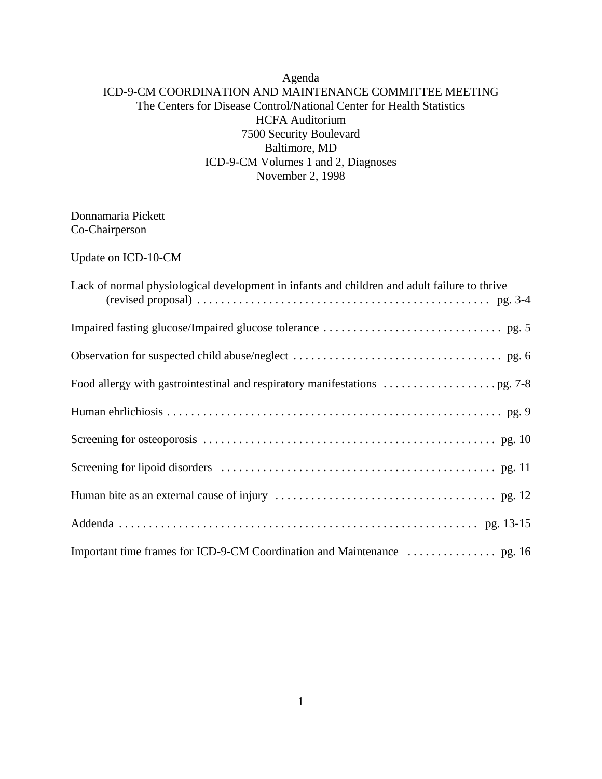# Agenda ICD-9-CM COORDINATION AND MAINTENANCE COMMITTEE MEETING The Centers for Disease Control/National Center for Health Statistics HCFA Auditorium 7500 Security Boulevard Baltimore, MD ICD-9-CM Volumes 1 and 2, Diagnoses November 2, 1998

Donnamaria Pickett Co-Chairperson

Update on ICD-10-CM

| Lack of normal physiological development in infants and children and adult failure to thrive |
|----------------------------------------------------------------------------------------------|
|                                                                                              |
|                                                                                              |
|                                                                                              |
|                                                                                              |
|                                                                                              |
|                                                                                              |
|                                                                                              |
|                                                                                              |
|                                                                                              |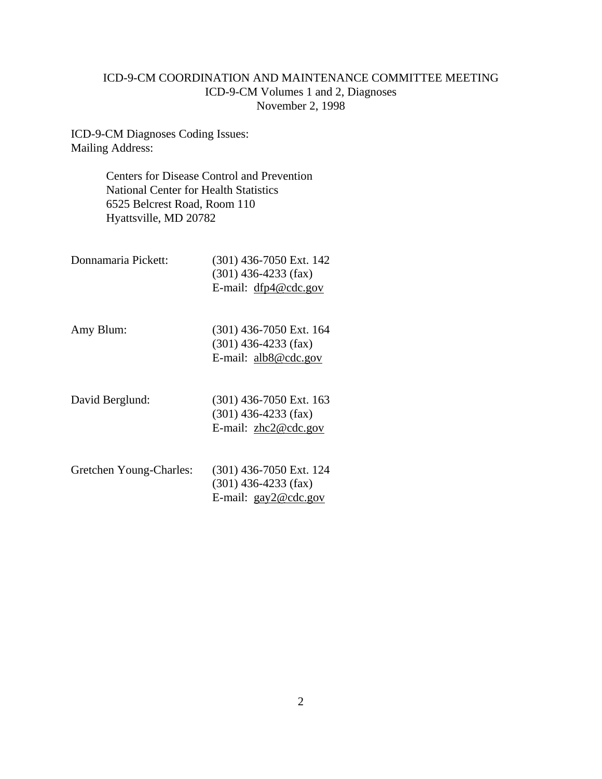# ICD-9-CM COORDINATION AND MAINTENANCE COMMITTEE MEETING ICD-9-CM Volumes 1 and 2, Diagnoses November 2, 1998

ICD-9-CM Diagnoses Coding Issues: Mailing Address:

> Centers for Disease Control and Prevention National Center for Health Statistics 6525 Belcrest Road, Room 110 Hyattsville, MD 20782

| Donnamaria Pickett:     | $(301)$ 436-7050 Ext. 142<br>$(301)$ 436-4233 (fax)<br>E-mail: dfp4@cdc.gov        |
|-------------------------|------------------------------------------------------------------------------------|
| Amy Blum:               | (301) 436-7050 Ext. 164<br>$(301)$ 436-4233 (fax)<br>E-mail: alb8@cdc.gov          |
| David Berglund:         | $(301)$ 436-7050 Ext. 163<br>$(301)$ 436-4233 (fax)<br>E-mail: $zhc2@cdc.gov$      |
| Gretchen Young-Charles: | (301) 436-7050 Ext. 124<br>$(301)$ 436-4233 (fax)<br>E-mail: $\text{gay2@cdc.gov}$ |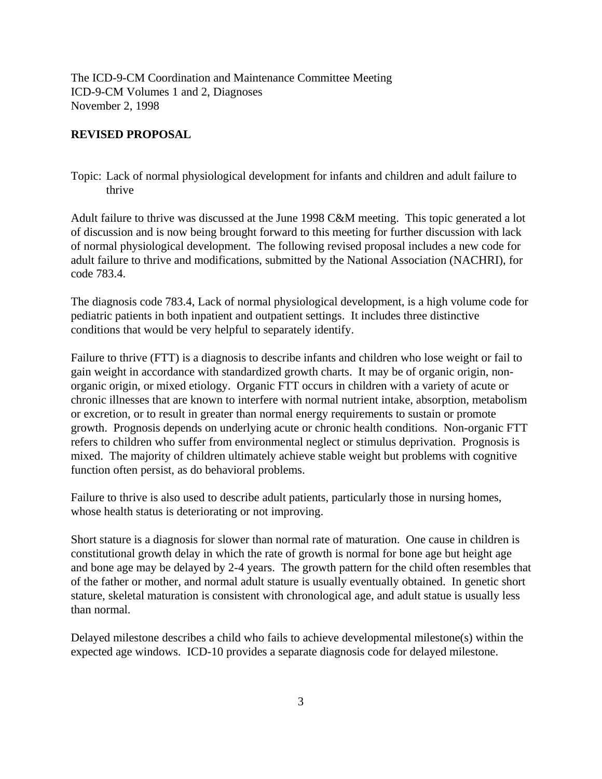#### **REVISED PROPOSAL**

Topic: Lack of normal physiological development for infants and children and adult failure to thrive

Adult failure to thrive was discussed at the June 1998 C&M meeting. This topic generated a lot of discussion and is now being brought forward to this meeting for further discussion with lack of normal physiological development. The following revised proposal includes a new code for adult failure to thrive and modifications, submitted by the National Association (NACHRI), for code 783.4.

The diagnosis code 783.4, Lack of normal physiological development, is a high volume code for pediatric patients in both inpatient and outpatient settings. It includes three distinctive conditions that would be very helpful to separately identify.

Failure to thrive (FTT) is a diagnosis to describe infants and children who lose weight or fail to gain weight in accordance with standardized growth charts. It may be of organic origin, nonorganic origin, or mixed etiology. Organic FTT occurs in children with a variety of acute or chronic illnesses that are known to interfere with normal nutrient intake, absorption, metabolism or excretion, or to result in greater than normal energy requirements to sustain or promote growth. Prognosis depends on underlying acute or chronic health conditions. Non-organic FTT refers to children who suffer from environmental neglect or stimulus deprivation. Prognosis is mixed. The majority of children ultimately achieve stable weight but problems with cognitive function often persist, as do behavioral problems.

Failure to thrive is also used to describe adult patients, particularly those in nursing homes, whose health status is deteriorating or not improving.

Short stature is a diagnosis for slower than normal rate of maturation. One cause in children is constitutional growth delay in which the rate of growth is normal for bone age but height age and bone age may be delayed by 2-4 years. The growth pattern for the child often resembles that of the father or mother, and normal adult stature is usually eventually obtained. In genetic short stature, skeletal maturation is consistent with chronological age, and adult statue is usually less than normal.

Delayed milestone describes a child who fails to achieve developmental milestone(s) within the expected age windows. ICD-10 provides a separate diagnosis code for delayed milestone.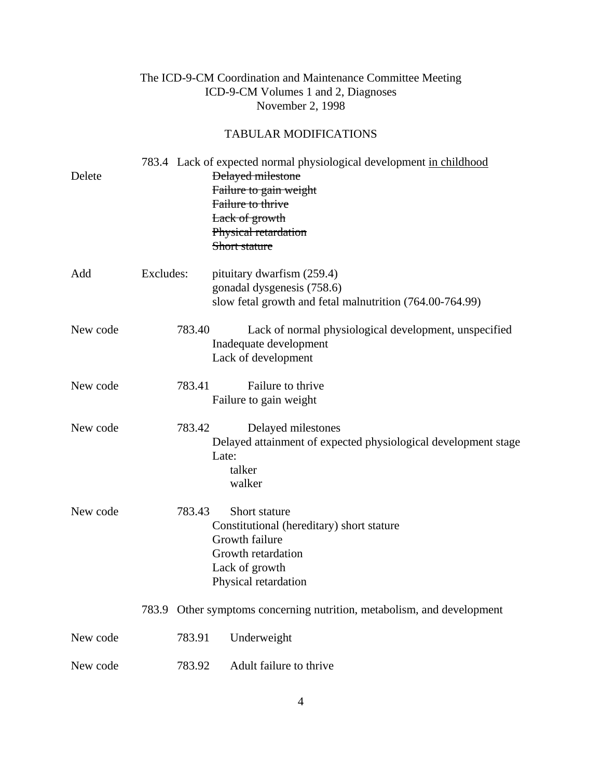# TABULAR MODIFICATIONS

| Delete   |           |        | 783.4 Lack of expected normal physiological development in childhood<br><b>Delayed milestone</b><br>Failure to gain weight<br>Failure to thrive<br><b>Lack of growth</b><br>Physical retardation<br>Short stature |
|----------|-----------|--------|-------------------------------------------------------------------------------------------------------------------------------------------------------------------------------------------------------------------|
| Add      | Excludes: |        | pituitary dwarfism (259.4)<br>gonadal dysgenesis (758.6)<br>slow fetal growth and fetal malnutrition (764.00-764.99)                                                                                              |
| New code |           | 783.40 | Lack of normal physiological development, unspecified<br>Inadequate development<br>Lack of development                                                                                                            |
| New code |           | 783.41 | Failure to thrive<br>Failure to gain weight                                                                                                                                                                       |
| New code |           | 783.42 | Delayed milestones<br>Delayed attainment of expected physiological development stage<br>Late:<br>talker<br>walker                                                                                                 |
| New code |           | 783.43 | Short stature<br>Constitutional (hereditary) short stature<br>Growth failure<br>Growth retardation<br>Lack of growth<br>Physical retardation                                                                      |
|          |           |        | 783.9 Other symptoms concerning nutrition, metabolism, and development                                                                                                                                            |
| New code |           | 783.91 | Underweight                                                                                                                                                                                                       |
| New code |           | 783.92 | Adult failure to thrive                                                                                                                                                                                           |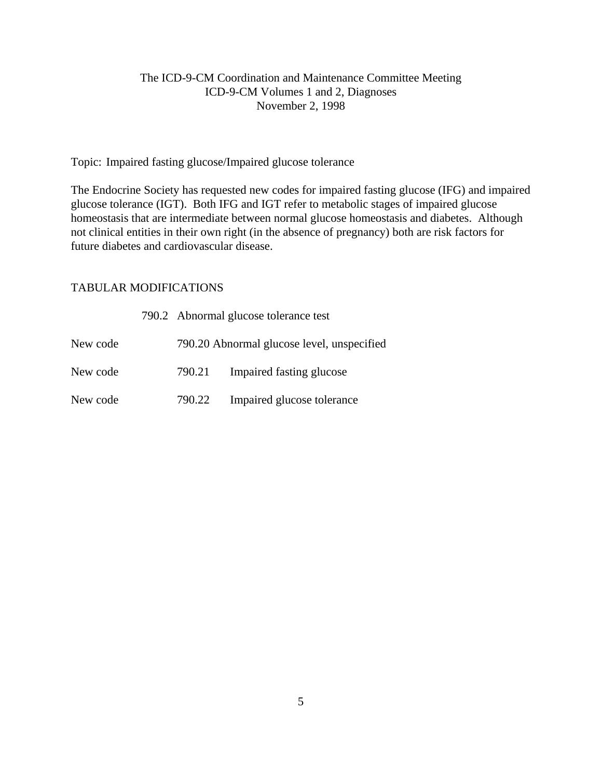Topic: Impaired fasting glucose/Impaired glucose tolerance

The Endocrine Society has requested new codes for impaired fasting glucose (IFG) and impaired glucose tolerance (IGT). Both IFG and IGT refer to metabolic stages of impaired glucose homeostasis that are intermediate between normal glucose homeostasis and diabetes. Although not clinical entities in their own right (in the absence of pregnancy) both are risk factors for future diabetes and cardiovascular disease.

## TABULAR MODIFICATIONS

|          |        | 790.2 Abnormal glucose tolerance test      |
|----------|--------|--------------------------------------------|
| New code |        | 790.20 Abnormal glucose level, unspecified |
| New code | 790.21 | Impaired fasting glucose                   |
| New code | 790.22 | Impaired glucose tolerance                 |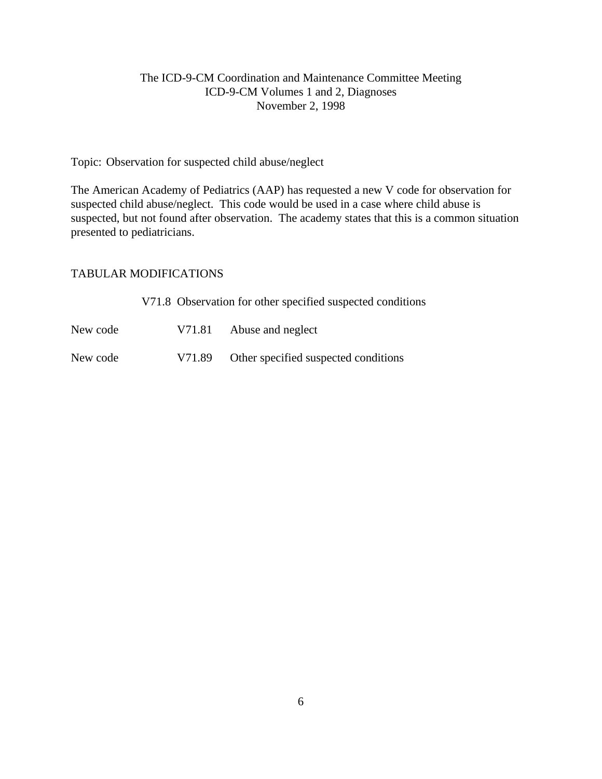Topic: Observation for suspected child abuse/neglect

The American Academy of Pediatrics (AAP) has requested a new V code for observation for suspected child abuse/neglect. This code would be used in a case where child abuse is suspected, but not found after observation. The academy states that this is a common situation presented to pediatricians.

## TABULAR MODIFICATIONS

V71.8 Observation for other specified suspected conditions

New code  $V71.81$  Abuse and neglect

New code V71.89 Other specified suspected conditions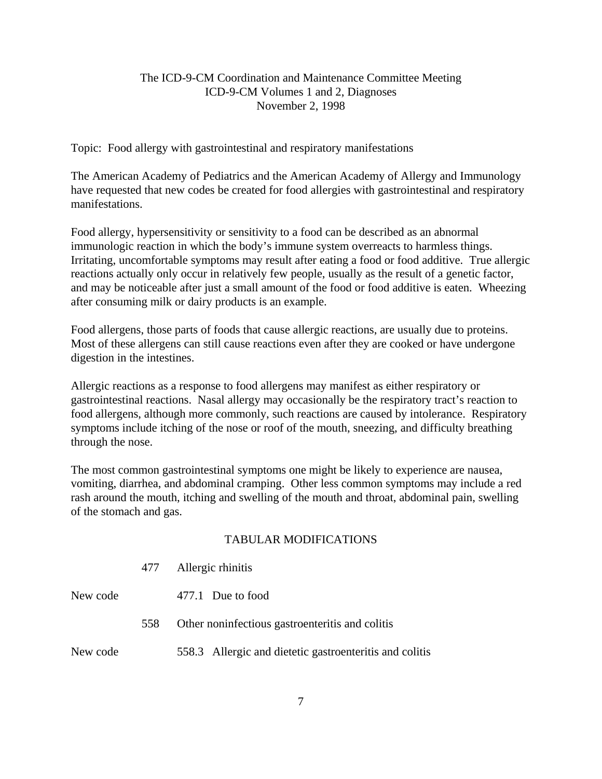Topic: Food allergy with gastrointestinal and respiratory manifestations

The American Academy of Pediatrics and the American Academy of Allergy and Immunology have requested that new codes be created for food allergies with gastrointestinal and respiratory manifestations.

Food allergy, hypersensitivity or sensitivity to a food can be described as an abnormal immunologic reaction in which the body's immune system overreacts to harmless things. Irritating, uncomfortable symptoms may result after eating a food or food additive. True allergic reactions actually only occur in relatively few people, usually as the result of a genetic factor, and may be noticeable after just a small amount of the food or food additive is eaten. Wheezing after consuming milk or dairy products is an example.

Food allergens, those parts of foods that cause allergic reactions, are usually due to proteins. Most of these allergens can still cause reactions even after they are cooked or have undergone digestion in the intestines.

Allergic reactions as a response to food allergens may manifest as either respiratory or gastrointestinal reactions. Nasal allergy may occasionally be the respiratory tract's reaction to food allergens, although more commonly, such reactions are caused by intolerance. Respiratory symptoms include itching of the nose or roof of the mouth, sneezing, and difficulty breathing through the nose.

The most common gastrointestinal symptoms one might be likely to experience are nausea, vomiting, diarrhea, and abdominal cramping. Other less common symptoms may include a red rash around the mouth, itching and swelling of the mouth and throat, abdominal pain, swelling of the stomach and gas.

### TABULAR MODIFICATIONS

|          |     | 477 Allergic rhinitis                                   |
|----------|-----|---------------------------------------------------------|
| New code |     | 477.1 Due to food                                       |
|          | 558 | Other noninfectious gastroenteritis and colitis         |
| New code |     | 558.3 Allergic and dietetic gastroenteritis and colitis |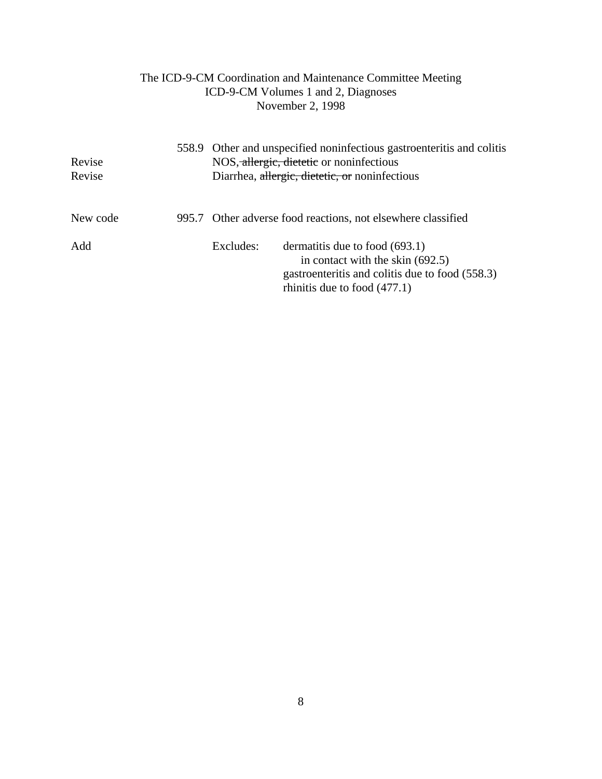| Revise<br>Revise |           | 558.9 Other and unspecified noninfectious gastroenteritis and colitis<br>NOS, allergic, dietetic or noninfectious<br>Diarrhea, allergic, dietetic, or noninfectious |
|------------------|-----------|---------------------------------------------------------------------------------------------------------------------------------------------------------------------|
| New code         |           | 995.7 Other adverse food reactions, not elsewhere classified                                                                                                        |
| Add              | Excludes: | dermatitis due to food (693.1)<br>in contact with the skin $(692.5)$<br>gastroenteritis and colitis due to food (558.3)<br>rhinitis due to food $(477.1)$           |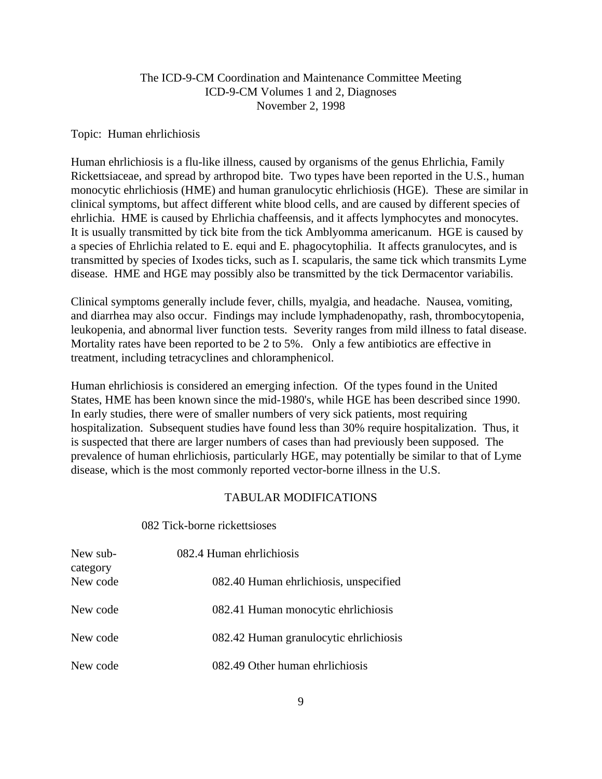#### Topic: Human ehrlichiosis

Human ehrlichiosis is a flu-like illness, caused by organisms of the genus Ehrlichia, Family Rickettsiaceae, and spread by arthropod bite. Two types have been reported in the U.S., human monocytic ehrlichiosis (HME) and human granulocytic ehrlichiosis (HGE). These are similar in clinical symptoms, but affect different white blood cells, and are caused by different species of ehrlichia. HME is caused by Ehrlichia chaffeensis, and it affects lymphocytes and monocytes. It is usually transmitted by tick bite from the tick Amblyomma americanum. HGE is caused by a species of Ehrlichia related to E. equi and E. phagocytophilia. It affects granulocytes, and is transmitted by species of Ixodes ticks, such as I. scapularis, the same tick which transmits Lyme disease. HME and HGE may possibly also be transmitted by the tick Dermacentor variabilis.

Clinical symptoms generally include fever, chills, myalgia, and headache. Nausea, vomiting, and diarrhea may also occur. Findings may include lymphadenopathy, rash, thrombocytopenia, leukopenia, and abnormal liver function tests. Severity ranges from mild illness to fatal disease. Mortality rates have been reported to be 2 to 5%. Only a few antibiotics are effective in treatment, including tetracyclines and chloramphenicol.

Human ehrlichiosis is considered an emerging infection. Of the types found in the United States, HME has been known since the mid-1980's, while HGE has been described since 1990. In early studies, there were of smaller numbers of very sick patients, most requiring hospitalization. Subsequent studies have found less than 30% require hospitalization. Thus, it is suspected that there are larger numbers of cases than had previously been supposed. The prevalence of human ehrlichiosis, particularly HGE, may potentially be similar to that of Lyme disease, which is the most commonly reported vector-borne illness in the U.S.

#### TABULAR MODIFICATIONS

#### 082 Tick-borne rickettsioses

| New sub-<br>category | 082.4 Human ehrlichiosis               |
|----------------------|----------------------------------------|
| New code             | 082.40 Human ehrlichiosis, unspecified |
| New code             | 082.41 Human monocytic ehrlichiosis    |
| New code             | 082.42 Human granulocytic ehrlichiosis |
| New code             | 082.49 Other human ehrlichiosis        |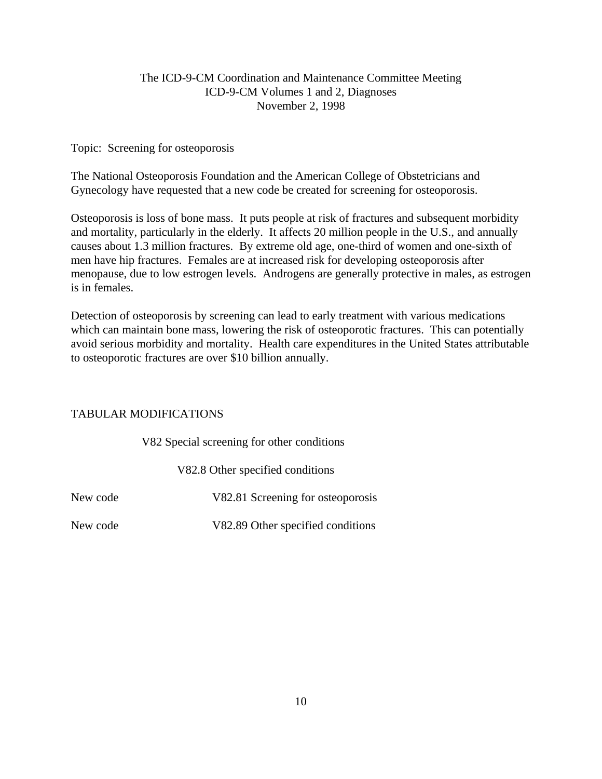Topic: Screening for osteoporosis

The National Osteoporosis Foundation and the American College of Obstetricians and Gynecology have requested that a new code be created for screening for osteoporosis.

Osteoporosis is loss of bone mass. It puts people at risk of fractures and subsequent morbidity and mortality, particularly in the elderly. It affects 20 million people in the U.S., and annually causes about 1.3 million fractures. By extreme old age, one-third of women and one-sixth of men have hip fractures. Females are at increased risk for developing osteoporosis after menopause, due to low estrogen levels. Androgens are generally protective in males, as estrogen is in females.

Detection of osteoporosis by screening can lead to early treatment with various medications which can maintain bone mass, lowering the risk of osteoporotic fractures. This can potentially avoid serious morbidity and mortality. Health care expenditures in the United States attributable to osteoporotic fractures are over \$10 billion annually.

### TABULAR MODIFICATIONS

### V82 Special screening for other conditions

V82.8 Other specified conditions

New code V82.81 Screening for osteoporosis

New code V82.89 Other specified conditions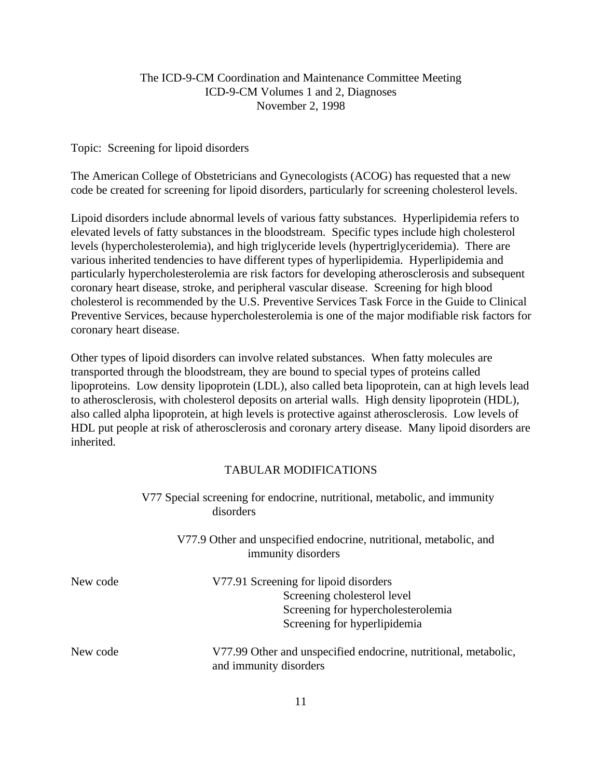#### Topic: Screening for lipoid disorders

The American College of Obstetricians and Gynecologists (ACOG) has requested that a new code be created for screening for lipoid disorders, particularly for screening cholesterol levels.

Lipoid disorders include abnormal levels of various fatty substances. Hyperlipidemia refers to elevated levels of fatty substances in the bloodstream. Specific types include high cholesterol levels (hypercholesterolemia), and high triglyceride levels (hypertriglyceridemia). There are various inherited tendencies to have different types of hyperlipidemia. Hyperlipidemia and particularly hypercholesterolemia are risk factors for developing atherosclerosis and subsequent coronary heart disease, stroke, and peripheral vascular disease. Screening for high blood cholesterol is recommended by the U.S. Preventive Services Task Force in the Guide to Clinical Preventive Services, because hypercholesterolemia is one of the major modifiable risk factors for coronary heart disease.

Other types of lipoid disorders can involve related substances. When fatty molecules are transported through the bloodstream, they are bound to special types of proteins called lipoproteins. Low density lipoprotein (LDL), also called beta lipoprotein, can at high levels lead to atherosclerosis, with cholesterol deposits on arterial walls. High density lipoprotein (HDL), also called alpha lipoprotein, at high levels is protective against atherosclerosis. Low levels of HDL put people at risk of atherosclerosis and coronary artery disease. Many lipoid disorders are inherited.

#### TABULAR MODIFICATIONS

V77 Special screening for endocrine, nutritional, metabolic, and immunity disorders

|          | V77.9 Other and unspecified endocrine, nutritional, metabolic, and<br>immunity disorders                                                   |
|----------|--------------------------------------------------------------------------------------------------------------------------------------------|
| New code | V77.91 Screening for lipoid disorders<br>Screening cholesterol level<br>Screening for hypercholesterolemia<br>Screening for hyperlipidemia |
|          |                                                                                                                                            |

New code V77.99 Other and unspecified endocrine, nutritional, metabolic, and immunity disorders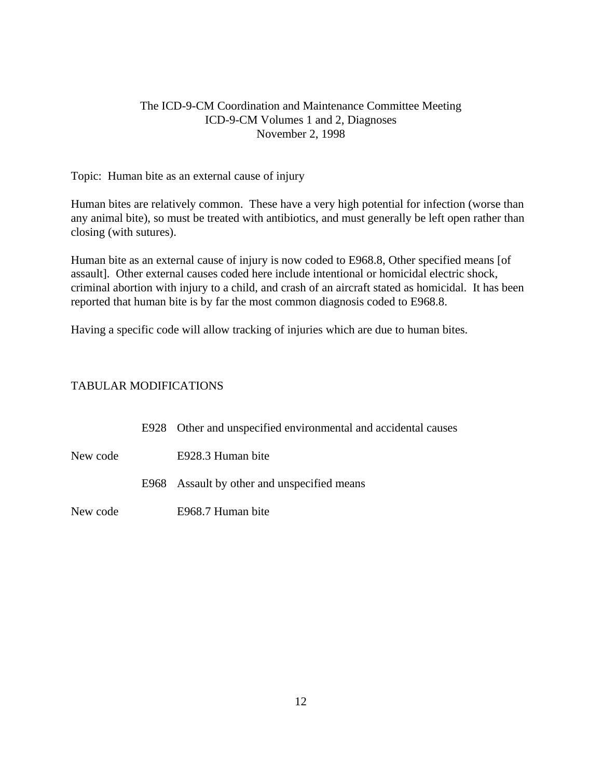Topic: Human bite as an external cause of injury

Human bites are relatively common. These have a very high potential for infection (worse than any animal bite), so must be treated with antibiotics, and must generally be left open rather than closing (with sutures).

Human bite as an external cause of injury is now coded to E968.8, Other specified means [of assault]. Other external causes coded here include intentional or homicidal electric shock, criminal abortion with injury to a child, and crash of an aircraft stated as homicidal. It has been reported that human bite is by far the most common diagnosis coded to E968.8.

Having a specific code will allow tracking of injuries which are due to human bites.

### TABULAR MODIFICATIONS

- E928 Other and unspecified environmental and accidental causes
- New code E928.3 Human bite

E968 Assault by other and unspecified means

New code E968.7 Human bite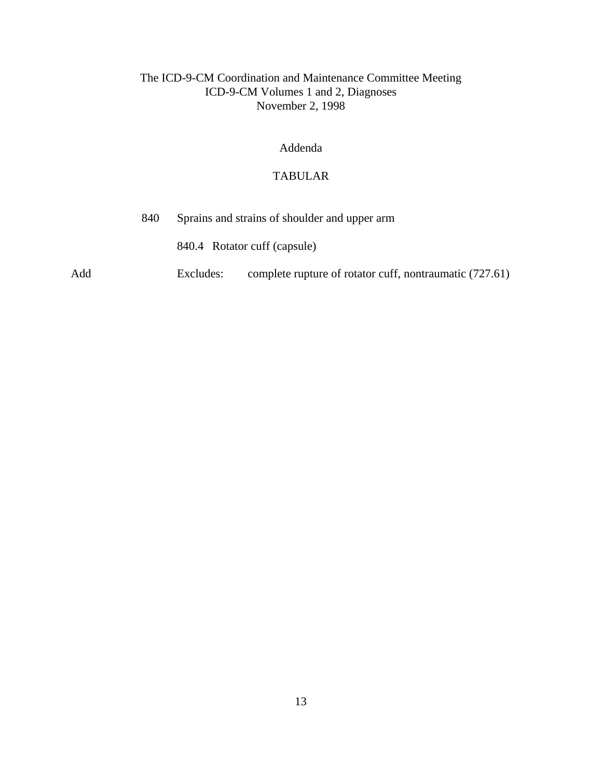# Addenda

# TABULAR

|     | 840 | Sprains and strains of shoulder and upper arm |                                                         |  |
|-----|-----|-----------------------------------------------|---------------------------------------------------------|--|
|     |     |                                               | 840.4 Rotator cuff (capsule)                            |  |
| Add |     | Excludes:                                     | complete rupture of rotator cuff, nontraumatic (727.61) |  |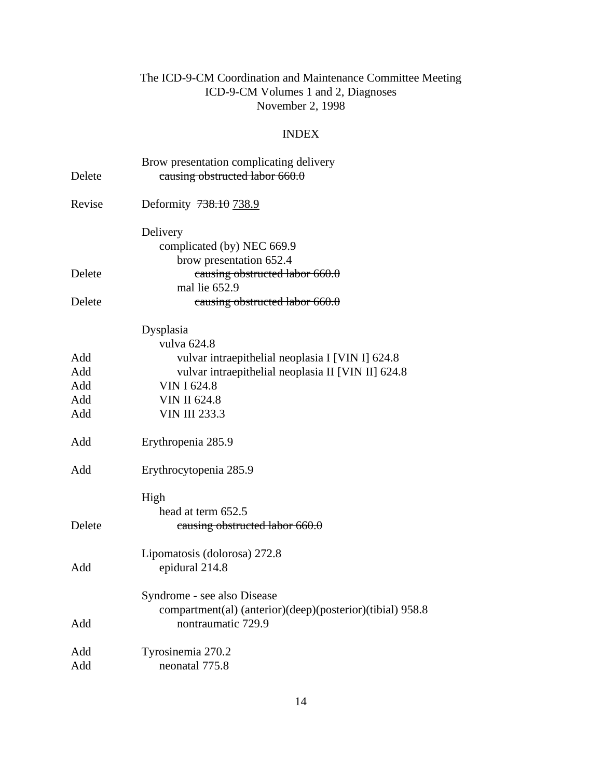## INDEX

|        | Brow presentation complicating delivery                   |
|--------|-----------------------------------------------------------|
| Delete | causing obstructed labor $660.0$                          |
| Revise | Deformity 738.10 738.9                                    |
|        | Delivery                                                  |
|        | complicated (by) NEC 669.9                                |
|        | brow presentation 652.4                                   |
| Delete | causing obstructed labor $660.0$                          |
|        | mal lie 652.9                                             |
| Delete | causing obstructed labor 660.0                            |
|        | Dysplasia                                                 |
|        | vulva 624.8                                               |
| Add    | vulvar intraepithelial neoplasia I [VIN I] 624.8          |
| Add    | vulvar intraepithelial neoplasia II [VIN II] 624.8        |
| Add    | <b>VIN I 624.8</b>                                        |
| Add    | <b>VIN II 624.8</b>                                       |
| Add    | <b>VIN III 233.3</b>                                      |
| Add    | Erythropenia 285.9                                        |
| Add    | Erythrocytopenia 285.9                                    |
|        | High                                                      |
|        | head at term 652.5                                        |
| Delete | causing obstructed labor 660.0                            |
|        | Lipomatosis (dolorosa) 272.8                              |
| Add    | epidural 214.8                                            |
|        | Syndrome - see also Disease                               |
|        | compartment(al) (anterior)(deep)(posterior)(tibial) 958.8 |
| Add    | nontraumatic 729.9                                        |
| Add    | Tyrosinemia 270.2                                         |
| Add    | neonatal 775.8                                            |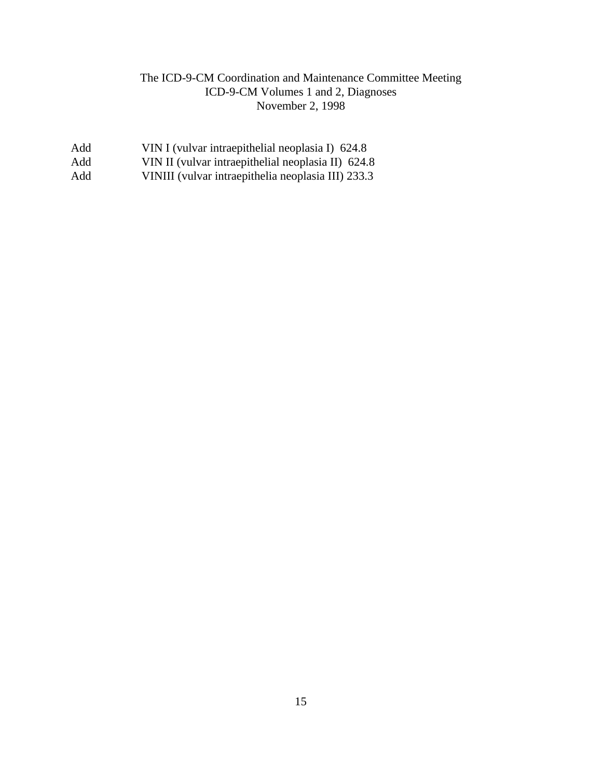| Add | VIN I (vulvar intraepithelial neoplasia I) 624.8   |
|-----|----------------------------------------------------|
| Add | VIN II (vulvar intraepithelial neoplasia II) 624.8 |
| Add | VINIII (vulvar intraepithelia neoplasia III) 233.3 |